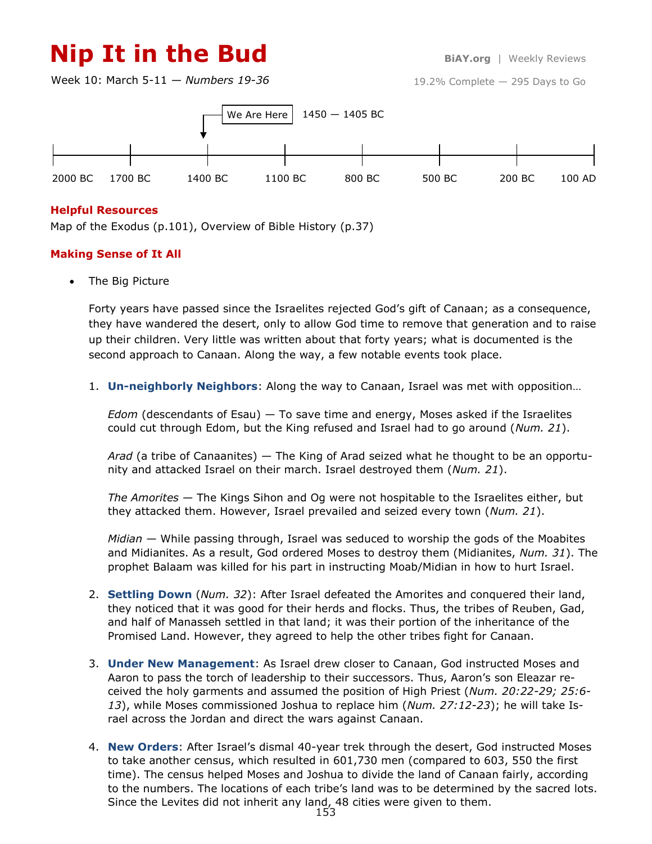# **Nip It in the Bud BiAY.org** | Weekly Reviews

Week 10: March 5-11 — *Numbers 19-36*



### **Helpful Resources**

Map of the Exodus (p.101), Overview of Bible History (p.37)

### **Making Sense of It All**

• The Big Picture

Forty years have passed since the Israelites rejected God's gift of Canaan; as a consequence, they have wandered the desert, only to allow God time to remove that generation and to raise up their children. Very little was written about that forty years; what is documented is the second approach to Canaan. Along the way, a few notable events took place.

1. **Un-neighborly Neighbors**: Along the way to Canaan, Israel was met with opposition…

*Edom* (descendants of Esau) — To save time and energy, Moses asked if the Israelites could cut through Edom, but the King refused and Israel had to go around (*Num. 21*).

*Arad* (a tribe of Canaanites) — The King of Arad seized what he thought to be an opportunity and attacked Israel on their march. Israel destroyed them (*Num. 21*).

*The Amorites* — The Kings Sihon and Og were not hospitable to the Israelites either, but they attacked them. However, Israel prevailed and seized every town (*Num. 21*).

*Midian* — While passing through, Israel was seduced to worship the gods of the Moabites and Midianites. As a result, God ordered Moses to destroy them (Midianites, *Num. 31*). The prophet Balaam was killed for his part in instructing Moab/Midian in how to hurt Israel.

- 2. **Settling Down** (*Num. 32*): After Israel defeated the Amorites and conquered their land, they noticed that it was good for their herds and flocks. Thus, the tribes of Reuben, Gad, and half of Manasseh settled in that land; it was their portion of the inheritance of the Promised Land. However, they agreed to help the other tribes fight for Canaan.
- 3. **Under New Management**: As Israel drew closer to Canaan, God instructed Moses and Aaron to pass the torch of leadership to their successors. Thus, Aaron's son Eleazar received the holy garments and assumed the position of High Priest (*Num. 20:22-29; 25:6- 13*), while Moses commissioned Joshua to replace him (*Num. 27:12-23*); he will take Israel across the Jordan and direct the wars against Canaan.
- 4. **New Orders**: After Israel's dismal 40-year trek through the desert, God instructed Moses to take another census, which resulted in 601,730 men (compared to 603, 550 the first time). The census helped Moses and Joshua to divide the land of Canaan fairly, according to the numbers. The locations of each tribe's land was to be determined by the sacred lots. Since the Levites did not inherit any land, 48 cities were given to them.